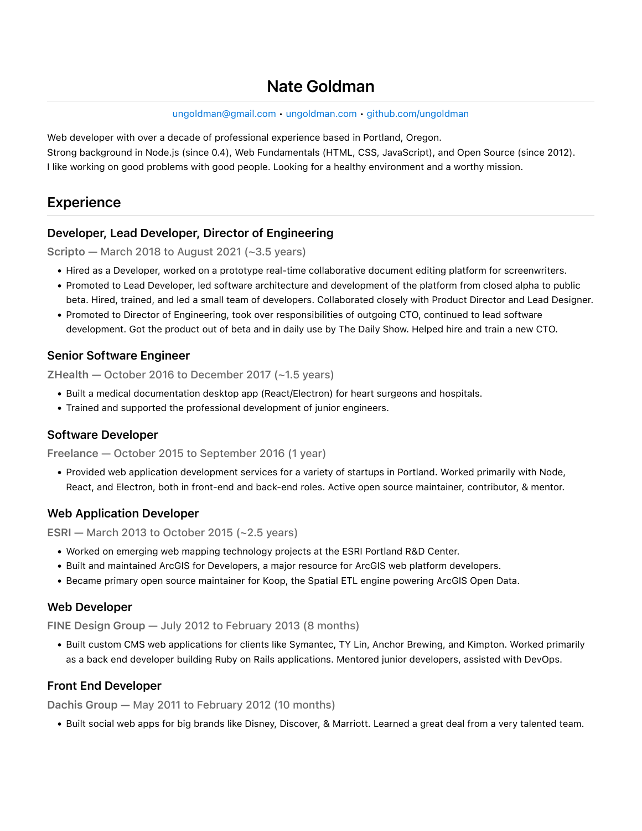# Nate Goldman

[ungoldman@gmail.com](mailto:ungoldman@gmail.com) • [ungoldman.com](https://ungoldman.com/) • [github.com/ungoldman](https://github.com/ungoldman)

Web developer with over a decade of professional experience based in Portland, Oregon. Strong background in Node.js (since 0.4), Web Fundamentals (HTML, CSS, JavaScript), and Open Source (since 2012). I like working on good problems with good people. Looking for a healthy environment and a worthy mission.

## Experience

#### Developer, Lead Developer, Director of Engineering

Scripto — March 2018 to August 2021 (~3.5 years)

- . Hired as a Developer, worked on a prototype real-time collaborative document editing platform for screenwriters.
- !"Promoted to Lead Developer, led software architecture and development of the platform from closed alpha to public beta. Hired, trained, and led a small team of developers. Collaborated closely with Product Director and Lead Designer.
- . Promoted to Director of Engineering, took over responsibilities of outgoing CTO, continued to lead software development. Got the product out of beta and in daily use by The Daily Show. Helped hire and train a new CTO.

#### Senior Software Engineer

ZHealth — October 2016 to December 2017 (~1.5 years)

- . Built a medical documentation desktop app (React/Electron) for heart surgeons and hospitals.
- . Trained and supported the professional development of junior engineers.

#### Software Developer

Freelance — October 2015 to September 2016 (1 year)

!"Provided web application development services for a variety of startups in Portland. Worked primarily with Node, React, and Electron, both in front-end and back-end roles. Active open source maintainer, contributor, & mentor.

#### Web Application Developer

ESRI – March 2013 to October 2015 ( $\sim$ 2.5 years)

- . Worked on emerging web mapping technology projects at the ESRI Portland R&D Center.
- . Built and maintained ArcGIS for Developers, a major resource for ArcGIS web platform developers.
- !"Became primary open source maintainer for Koop, the Spatial ETL engine powering ArcGIS Open Data.

#### Web Developer

FINE Design Group — July 2012 to February 2013 (8 months)

. Built custom CMS web applications for clients like Symantec, TY Lin, Anchor Brewing, and Kimpton. Worked primarily as a back end developer building Ruby on Rails applications. Mentored junior developers, assisted with DevOps.

#### Front End Developer

Dachis Group — May 2011 to February 2012 (10 months)

. Built social web apps for big brands like Disney, Discover, & Marriott. Learned a great deal from a very talented team.